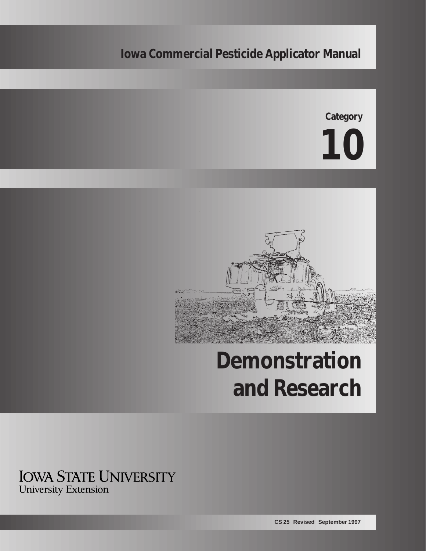# **Iowa Commercial Pesticide Applicator Manual**

**Category**





# **Demonstration and Research**

**IOWA STATE UNIVERSITY University Extension**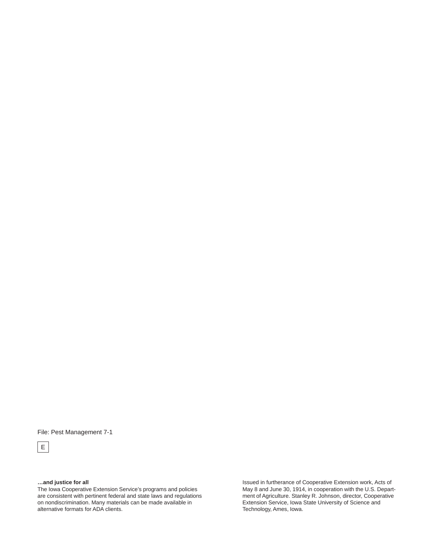File: Pest Management 7-1



**…and justice for all**

The Iowa Cooperative Extension Service's programs and policies are consistent with pertinent federal and state laws and regulations on nondiscrimination. Many materials can be made available in alternative formats for ADA clients.

Issued in furtherance of Cooperative Extension work, Acts of May 8 and June 30, 1914, in cooperation with the U.S. Department of Agriculture. Stanley R. Johnson, director, Cooperative Extension Service, Iowa State University of Science and Technology, Ames, Iowa.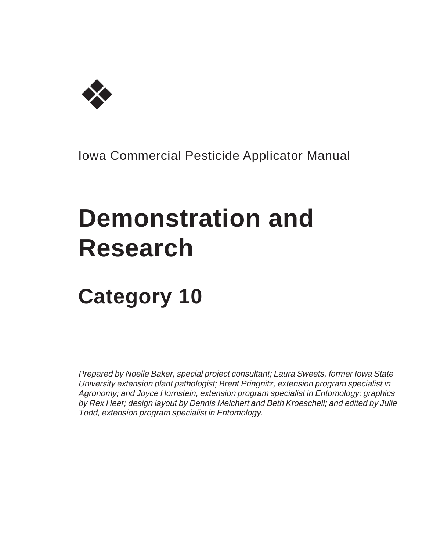

Iowa Commercial Pesticide Applicator Manual

# **Demonstration and Research**

# **Category 10**

Prepared by Noelle Baker, special project consultant; Laura Sweets, former Iowa State University extension plant pathologist; Brent Pringnitz, extension program specialist in Agronomy; and Joyce Hornstein, extension program specialist in Entomology; graphics by Rex Heer; design layout by Dennis Melchert and Beth Kroeschell; and edited by Julie Todd, extension program specialist in Entomology.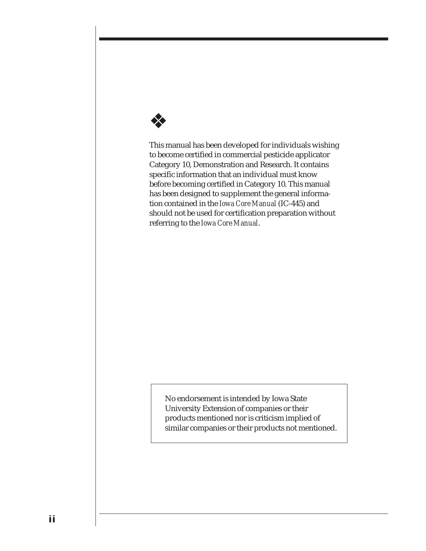

This manual has been developed for individuals wishing to become certified in commercial pesticide applicator Category 10, Demonstration and Research. It contains specific information that an individual must know before becoming certified in Category 10. This manual has been designed to supplement the general information contained in the *Iowa Core Manual* (IC-445) and should not be used for certification preparation without referring to the *Iowa Core Manual*.

No endorsement is intended by Iowa State University Extension of companies or their products mentioned nor is criticism implied of similar companies or their products not mentioned.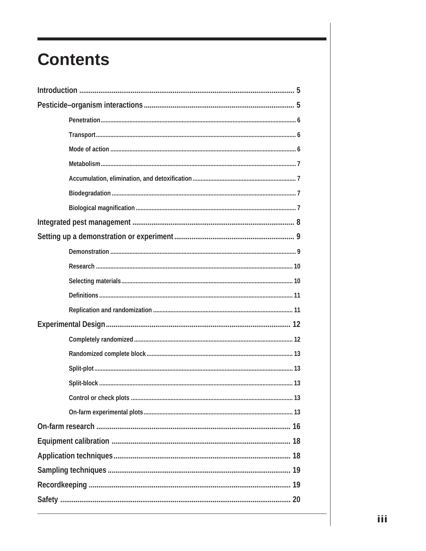# **Contents**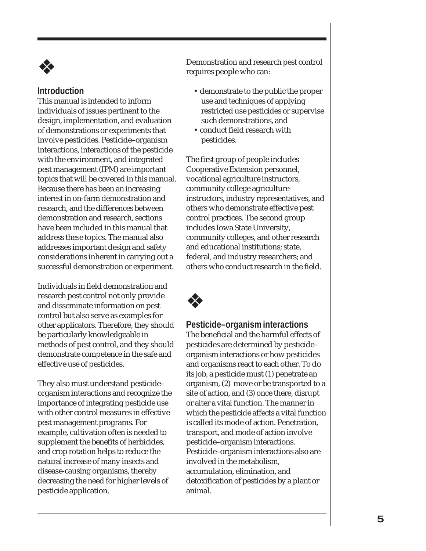

# **Introduction**

This manual is intended to inform individuals of issues pertinent to the design, implementation, and evaluation of demonstrations or experiments that involve pesticides. Pesticide–organism interactions, interactions of the pesticide with the environment, and integrated pest management (IPM) are important topics that will be covered in this manual. Because there has been an increasing interest in on-farm demonstration and research, and the differences between demonstration and research, sections have been included in this manual that address these topics. The manual also addresses important design and safety considerations inherent in carrying out a successful demonstration or experiment.

Individuals in field demonstration and research pest control not only provide and disseminate information on pest control but also serve as examples for other applicators. Therefore, they should be particularly knowledgeable in methods of pest control, and they should demonstrate competence in the safe and effective use of pesticides.

They also must understand pesticide– organism interactions and recognize the importance of integrating pesticide use with other control measures in effective pest management programs. For example, cultivation often is needed to supplement the benefits of herbicides, and crop rotation helps to reduce the natural increase of many insects and disease-causing organisms, thereby decreasing the need for higher levels of pesticide application.

Demonstration and research pest control requires people who can:

- demonstrate to the public the proper use and techniques of applying restricted use pesticides or supervise such demonstrations, and
- conduct field research with pesticides.

The first group of people includes Cooperative Extension personnel, vocational agriculture instructors, community college agriculture instructors, industry representatives, and others who demonstrate effective pest control practices. The second group includes Iowa State University, community colleges, and other research and educational institutions; state, federal, and industry researchers; and others who conduct research in the field.



# **Pesticide–organism interactions**

The beneficial and the harmful effects of pesticides are determined by pesticide– organism interactions or how pesticides and organisms react to each other. To do its job, a pesticide must (1) penetrate an organism, (2) move or be transported to a site of action, and (3) once there, disrupt or alter a vital function. The manner in which the pesticide affects a vital function is called its mode of action. Penetration, transport, and mode of action involve pesticide–organism interactions. Pesticide–organism interactions also are involved in the metabolism, accumulation, elimination, and detoxification of pesticides by a plant or animal.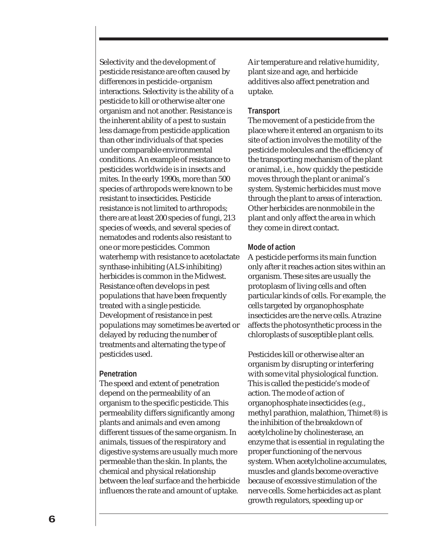Selectivity and the development of pesticide resistance are often caused by differences in pesticide–organism interactions. Selectivity is the ability of a pesticide to kill or otherwise alter one organism and not another. Resistance is the inherent ability of a pest to sustain less damage from pesticide application than other individuals of that species under comparable environmental conditions. An example of resistance to pesticides worldwide is in insects and mites. In the early 1990s, more than 500 species of arthropods were known to be resistant to insecticides. Pesticide resistance is not limited to arthropods; there are at least 200 species of fungi, 213 species of weeds, and several species of nematodes and rodents also resistant to one or more pesticides. Common waterhemp with resistance to acetolactate synthase-inhibiting (ALS-inhibiting) herbicides is common in the Midwest. Resistance often develops in pest populations that have been frequently treated with a single pesticide. Development of resistance in pest populations may sometimes be averted or delayed by reducing the number of treatments and alternating the type of pesticides used.

#### **Penetration**

The speed and extent of penetration depend on the permeability of an organism to the specific pesticide. This permeability differs significantly among plants and animals and even among different tissues of the same organism. In animals, tissues of the respiratory and digestive systems are usually much more permeable than the skin. In plants, the chemical and physical relationship between the leaf surface and the herbicide influences the rate and amount of uptake.

Air temperature and relative humidity, plant size and age, and herbicide additives also affect penetration and uptake.

#### **Transport**

The movement of a pesticide from the place where it entered an organism to its site of action involves the motility of the pesticide molecules and the efficiency of the transporting mechanism of the plant or animal, i.e., how quickly the pesticide moves through the plant or animal's system. Systemic herbicides must move through the plant to areas of interaction. Other herbicides are nonmobile in the plant and only affect the area in which they come in direct contact.

#### **Mode of action**

A pesticide performs its main function only after it reaches action sites within an organism. These sites are usually the protoplasm of living cells and often particular kinds of cells. For example, the cells targeted by organophosphate insecticides are the nerve cells. Atrazine affects the photosynthetic process in the chloroplasts of susceptible plant cells.

Pesticides kill or otherwise alter an organism by disrupting or interfering with some vital physiological function. This is called the pesticide's mode of action. The mode of action of organophosphate insecticides (e.g., methyl parathion, malathion, Thimet®) is the inhibition of the breakdown of acetylcholine by cholinesterase, an enzyme that is essential in regulating the proper functioning of the nervous system. When acetylcholine accumulates, muscles and glands become overactive because of excessive stimulation of the nerve cells. Some herbicides act as plant growth regulators, speeding up or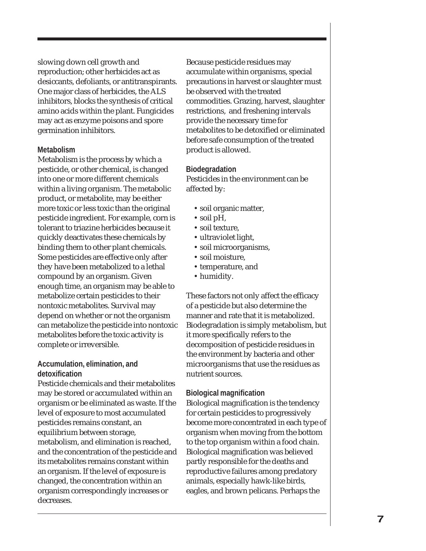slowing down cell growth and reproduction; other herbicides act as desiccants, defoliants, or antitranspirants. One major class of herbicides, the ALS inhibitors, blocks the synthesis of critical amino acids within the plant. Fungicides may act as enzyme poisons and spore germination inhibitors.

#### **Metabolism**

Metabolism is the process by which a pesticide, or other chemical, is changed into one or more different chemicals within a living organism. The metabolic product, or metabolite, may be either more toxic or less toxic than the original pesticide ingredient. For example, corn is tolerant to triazine herbicides because it quickly deactivates these chemicals by binding them to other plant chemicals. Some pesticides are effective only after they have been metabolized to a lethal compound by an organism. Given enough time, an organism may be able to metabolize certain pesticides to their nontoxic metabolites. Survival may depend on whether or not the organism can metabolize the pesticide into nontoxic metabolites before the toxic activity is complete or irreversible.

#### **Accumulation, elimination, and detoxification**

Pesticide chemicals and their metabolites may be stored or accumulated within an organism or be eliminated as waste. If the level of exposure to most accumulated pesticides remains constant, an equilibrium between storage, metabolism, and elimination is reached, and the concentration of the pesticide and its metabolites remains constant within an organism. If the level of exposure is changed, the concentration within an organism correspondingly increases or decreases.

Because pesticide residues may accumulate within organisms, special precautions in harvest or slaughter must be observed with the treated commodities. Grazing, harvest, slaughter restrictions, and freshening intervals provide the necessary time for metabolites to be detoxified or eliminated before safe consumption of the treated product is allowed.

#### **Biodegradation**

Pesticides in the environment can be affected by:

- soil organic matter,
- soil pH,
- soil texture,
- ultraviolet light,
- soil microorganisms,
- soil moisture,
- temperature, and
- humidity.

These factors not only affect the efficacy of a pesticide but also determine the manner and rate that it is metabolized. Biodegradation is simply metabolism, but it more specifically refers to the decomposition of pesticide residues in the environment by bacteria and other microorganisms that use the residues as nutrient sources.

#### **Biological magnification**

Biological magnification is the tendency for certain pesticides to progressively become more concentrated in each type of organism when moving from the bottom to the top organism within a food chain. Biological magnification was believed partly responsible for the deaths and reproductive failures among predatory animals, especially hawk-like birds, eagles, and brown pelicans. Perhaps the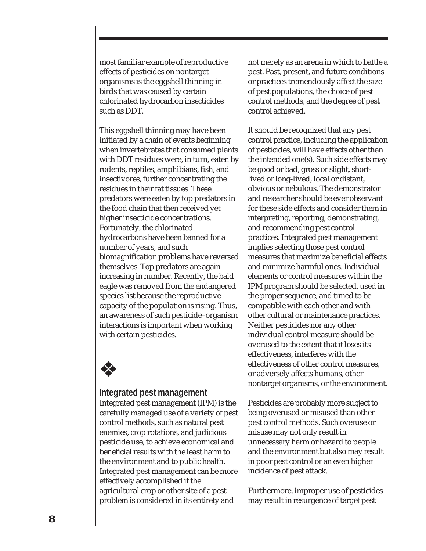most familiar example of reproductive effects of pesticides on nontarget organisms is the eggshell thinning in birds that was caused by certain chlorinated hydrocarbon insecticides such as DDT.

This eggshell thinning may have been initiated by a chain of events beginning when invertebrates that consumed plants with DDT residues were, in turn, eaten by rodents, reptiles, amphibians, fish, and insectivores, further concentrating the residues in their fat tissues. These predators were eaten by top predators in the food chain that then received yet higher insecticide concentrations. Fortunately, the chlorinated hydrocarbons have been banned for a number of years, and such biomagnification problems have reversed themselves. Top predators are again increasing in number. Recently, the bald eagle was removed from the endangered species list because the reproductive capacity of the population is rising. Thus, an awareness of such pesticide–organism interactions is important when working with certain pesticides.



#### **Integrated pest management**

Integrated pest management (IPM) is the carefully managed use of a variety of pest control methods, such as natural pest enemies, crop rotations, and judicious pesticide use, to achieve economical and beneficial results with the least harm to the environment and to public health. Integrated pest management can be more effectively accomplished if the agricultural crop or other site of a pest problem is considered in its entirety and

not merely as an arena in which to battle a pest. Past, present, and future conditions or practices tremendously affect the size of pest populations, the choice of pest control methods, and the degree of pest control achieved.

It should be recognized that any pest control practice, including the application of pesticides, will have effects other than the intended one(s). Such side effects may be good or bad, gross or slight, shortlived or long-lived, local or distant, obvious or nebulous. The demonstrator and researcher should be ever observant for these side effects and consider them in interpreting, reporting, demonstrating, and recommending pest control practices. Integrated pest management implies selecting those pest control measures that maximize beneficial effects and minimize harmful ones. Individual elements or control measures within the IPM program should be selected, used in the proper sequence, and timed to be compatible with each other and with other cultural or maintenance practices. Neither pesticides nor any other individual control measure should be overused to the extent that it loses its effectiveness, interferes with the effectiveness of other control measures, or adversely affects humans, other nontarget organisms, or the environment.

Pesticides are probably more subject to being overused or misused than other pest control methods. Such overuse or misuse may not only result in unnecessary harm or hazard to people and the environment but also may result in poor pest control or an even higher incidence of pest attack.

Furthermore, improper use of pesticides may result in resurgence of target pest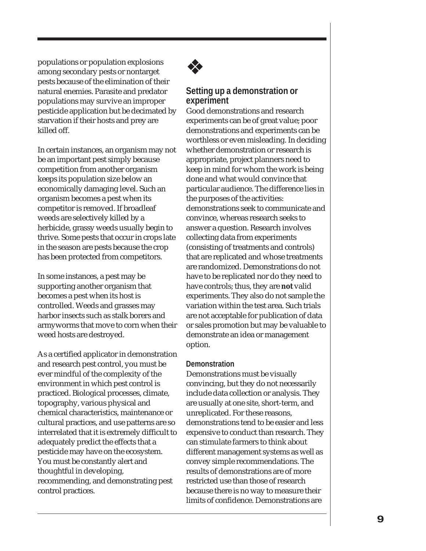populations or population explosions among secondary pests or nontarget pests because of the elimination of their natural enemies. Parasite and predator populations may survive an improper pesticide application but be decimated by starvation if their hosts and prey are killed off.

In certain instances, an organism may not be an important pest simply because competition from another organism keeps its population size below an economically damaging level. Such an organism becomes a pest when its competitor is removed. If broadleaf weeds are selectively killed by a herbicide, grassy weeds usually begin to thrive. Some pests that occur in crops late in the season are pests because the crop has been protected from competitors.

In some instances, a pest may be supporting another organism that becomes a pest when its host is controlled. Weeds and grasses may harbor insects such as stalk borers and armyworms that move to corn when their weed hosts are destroyed.

As a certified applicator in demonstration and research pest control, you must be ever mindful of the complexity of the environment in which pest control is practiced. Biological processes, climate, topography, various physical and chemical characteristics, maintenance or cultural practices, and use patterns are so interrelated that it is extremely difficult to adequately predict the effects that a pesticide may have on the ecosystem. You must be constantly alert and thoughtful in developing, recommending, and demonstrating pest control practices.



# **Setting up a demonstration or experiment**

Good demonstrations and research experiments can be of great value; poor demonstrations and experiments can be worthless or even misleading. In deciding whether demonstration or research is appropriate, project planners need to keep in mind for whom the work is being done and what would convince that particular audience. The difference lies in the purposes of the activities: demonstrations seek to communicate and convince, whereas research seeks to answer a question. Research involves collecting data from experiments (consisting of treatments and controls) that are replicated and whose treatments are randomized. Demonstrations do not have to be replicated nor do they need to have controls; thus, they are **not** valid experiments. They also do not sample the variation within the test area. Such trials are not acceptable for publication of data or sales promotion but may be valuable to demonstrate an idea or management option.

# **Demonstration**

Demonstrations must be visually convincing, but they do not necessarily include data collection or analysis. They are usually at one site, short-term, and unreplicated. For these reasons, demonstrations tend to be easier and less expensive to conduct than research. They can stimulate farmers to think about different management systems as well as convey simple recommendations. The results of demonstrations are of more restricted use than those of research because there is no way to measure their limits of confidence. Demonstrations are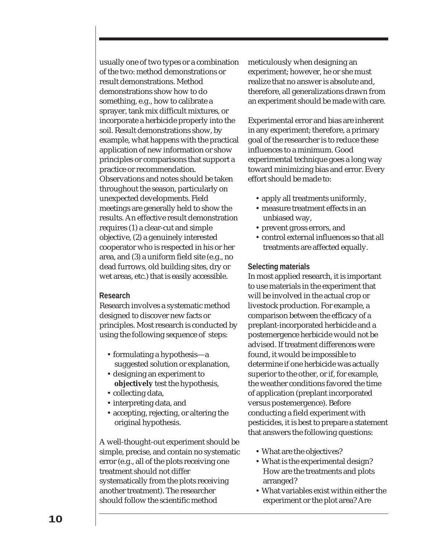usually one of two types or a combination of the two: method demonstrations or result demonstrations. Method demonstrations show how to do something, e.g., how to calibrate a sprayer, tank mix difficult mixtures, or incorporate a herbicide properly into the soil. Result demonstrations show, by example, what happens with the practical application of new information or show principles or comparisons that support a practice or recommendation. Observations and notes should be taken throughout the season, particularly on unexpected developments. Field meetings are generally held to show the results. An effective result demonstration requires (1) a clear-cut and simple objective, (2) a genuinely interested cooperator who is respected in his or her area, and (3) a uniform field site (e.g., no dead furrows, old building sites, dry or wet areas, etc.) that is easily accessible.

#### **Research**

Research involves a systematic method designed to discover new facts or principles. Most research is conducted by using the following sequence of steps:

- formulating a hypothesis—a suggested solution or explanation,
- designing an experiment to **objectively** test the hypothesis,
- collecting data,
- interpreting data, and
- accepting, rejecting, or altering the original hypothesis.

A well-thought-out experiment should be simple, precise, and contain no systematic error (e.g., all of the plots receiving one treatment should not differ systematically from the plots receiving another treatment). The researcher should follow the scientific method

meticulously when designing an experiment; however, he or she must realize that no answer is absolute and, therefore, all generalizations drawn from an experiment should be made with care.

Experimental error and bias are inherent in any experiment; therefore, a primary goal of the researcher is to reduce these influences to a minimum. Good experimental technique goes a long way toward minimizing bias and error. Every effort should be made to:

- apply all treatments uniformly,
- measure treatment effects in an unbiased way,
- prevent gross errors, and
- control external influences so that all treatments are affected equally.

#### **Selecting materials**

In most applied research, it is important to use materials in the experiment that will be involved in the actual crop or livestock production. For example, a comparison between the efficacy of a preplant-incorporated herbicide and a postemergence herbicide would not be advised. If treatment differences were found, it would be impossible to determine if one herbicide was actually superior to the other, or if, for example, the weather conditions favored the time of application (preplant incorporated versus postemergence). Before conducting a field experiment with pesticides, it is best to prepare a statement that answers the following questions:

- What are the objectives?
- What is the experimental design? How are the treatments and plots arranged?
- What variables exist within either the experiment or the plot area? Are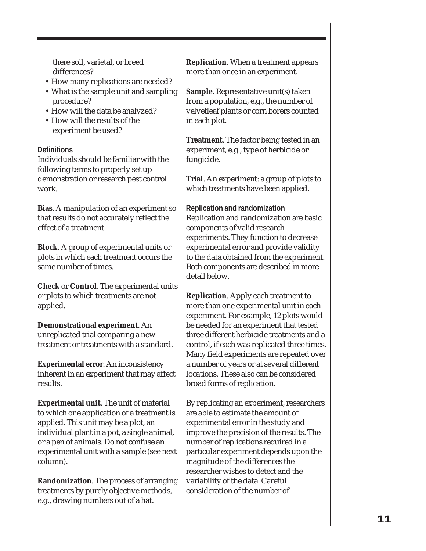there soil, varietal, or breed differences?

- How many replications are needed?
- What is the sample unit and sampling procedure?
- How will the data be analyzed?
- How will the results of the experiment be used?

# **Definitions**

Individuals should be familiar with the following terms to properly set up demonstration or research pest control work.

**Bias**. A manipulation of an experiment so that results do not accurately reflect the effect of a treatment.

**Block**. A group of experimental units or plots in which each treatment occurs the same number of times.

**Check** or **Control**. The experimental units or plots to which treatments are not applied.

**Demonstrational experiment**. An unreplicated trial comparing a new treatment or treatments with a standard.

**Experimental error**. An inconsistency inherent in an experiment that may affect results.

**Experimental unit**. The unit of material to which one application of a treatment is applied. This unit may be a plot, an individual plant in a pot, a single animal, or a pen of animals. Do not confuse an experimental unit with a sample (see next column).

**Randomization**. The process of arranging treatments by purely objective methods, e.g., drawing numbers out of a hat.

**Replication**. When a treatment appears more than once in an experiment.

**Sample**. Representative unit(s) taken from a population, e.g., the number of velvetleaf plants or corn borers counted in each plot.

**Treatment**. The factor being tested in an experiment, e.g., type of herbicide or fungicide.

**Trial**. An experiment: a group of plots to which treatments have been applied.

# **Replication and randomization**

Replication and randomization are basic components of valid research experiments. They function to decrease experimental error and provide validity to the data obtained from the experiment. Both components are described in more detail below.

**Replication**. Apply each treatment to more than one experimental unit in each experiment. For example, 12 plots would be needed for an experiment that tested three different herbicide treatments and a control, if each was replicated three times. Many field experiments are repeated over a number of years or at several different locations. These also can be considered broad forms of replication.

By replicating an experiment, researchers are able to estimate the amount of experimental error in the study and improve the precision of the results. The number of replications required in a particular experiment depends upon the magnitude of the differences the researcher wishes to detect and the variability of the data. Careful consideration of the number of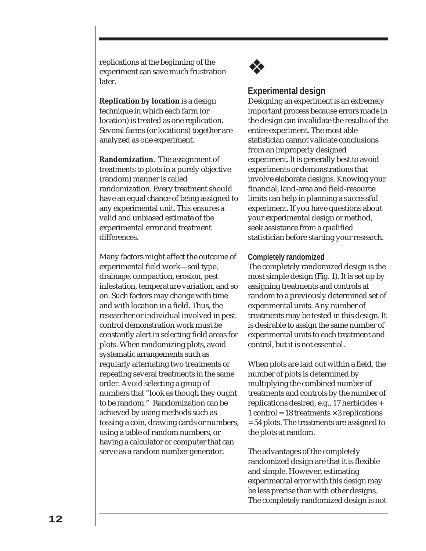replications at the beginning of the experiment can save much frustration later.

**Replication by location** is a design technique in which each farm (or location) is treated as one replication. Several farms (or locations) together are analyzed as one experiment.

**Randomization**. The assignment of treatments to plots in a purely objective (random) manner is called randomization. Every treatment should have an equal chance of being assigned to any experimental unit. This ensures a valid and unbiased estimate of the experimental error and treatment differences.

Many factors might affect the outcome of experimental field work—soil type, drainage, compaction, erosion, pest infestation, temperature variation, and so on. Such factors may change with time and with location in a field. Thus, the researcher or individual involved in pest control demonstration work must be constantly alert in selecting field areas for plots. When randomizing plots, avoid systematic arrangements such as regularly alternating two treatments or repeating several treatments in the same order. Avoid selecting a group of numbers that "look as though they ought to be random." Randomization can be achieved by using methods such as tossing a coin, drawing cards or numbers, using a table of random numbers, or having a calculator or computer that can serve as a random number generator.



# **Experimental design**

Designing an experiment is an extremely important process because errors made in the design can invalidate the results of the entire experiment. The most able statistician cannot validate conclusions from an improperly designed experiment. It is generally best to avoid experiments or demonstrations that involve elaborate designs. Knowing your financial, land-area and field-resource limits can help in planning a successful experiment. If you have questions about your experimental design or method, seek assistance from a qualified statistician before starting your research.

## **Completely randomized**

The completely randomized design is the most simple design (Fig. 1). It is set up by assigning treatments and controls at random to a previously determined set of experimental units. Any number of treatments may be tested in this design. It is desirable to assign the same number of experimental units to each treatment and control, but it is not essential.

When plots are laid out within a field, the number of plots is determined by multiplying the combined number of treatments and controls by the number of replications desired, e.g., 17 herbicides + 1 control =  $18$  treatments  $\times$  3 replications = 54 plots. The treatments are assigned to the plots at random.

The advantages of the completely randomized design are that it is flexible and simple. However, estimating experimental error with this design may be less precise than with other designs. The completely randomized design is not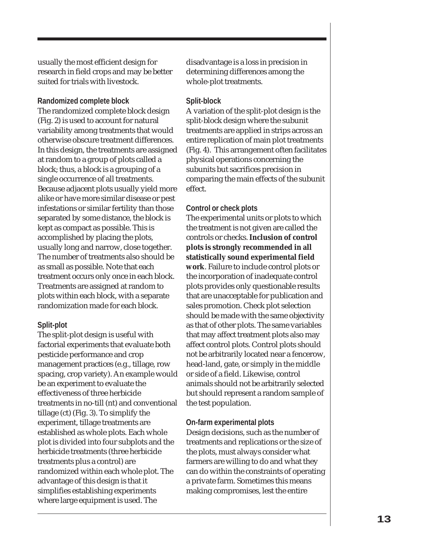usually the most efficient design for research in field crops and may be better suited for trials with livestock.

## **Randomized complete block**

The randomized complete block design (Fig. 2) is used to account for natural variability among treatments that would otherwise obscure treatment differences. In this design, the treatments are assigned at random to a group of plots called a block; thus, a block is a grouping of a single occurrence of all treatments. Because adjacent plots usually yield more alike or have more similar disease or pest infestations or similar fertility than those separated by some distance, the block is kept as compact as possible. This is accomplished by placing the plots, usually long and narrow, close together. The number of treatments also should be as small as possible. Note that each treatment occurs only once in each block. Treatments are assigned at random to plots within each block, with a separate randomization made for each block.

# **Split-plot**

The split-plot design is useful with factorial experiments that evaluate both pesticide performance and crop management practices (e.g., tillage, row spacing, crop variety). An example would be an experiment to evaluate the effectiveness of three herbicide treatments in no-till (nt) and conventional tillage (ct) (Fig. 3). To simplify the experiment, tillage treatments are established as whole plots. Each whole plot is divided into four subplots and the herbicide treatments (three herbicide treatments plus a control) are randomized within each whole plot. The advantage of this design is that it simplifies establishing experiments where large equipment is used. The

disadvantage is a loss in precision in determining differences among the whole-plot treatments.

# **Split-block**

A variation of the split-plot design is the split-block design where the subunit treatments are applied in strips across an entire replication of main plot treatments (Fig. 4). This arrangement often facilitates physical operations concerning the subunits but sacrifices precision in comparing the main effects of the subunit effect.

# **Control or check plots**

The experimental units or plots to which the treatment is not given are called the controls or checks. **Inclusion of control plots is strongly recommended in all statistically sound experimental field work**. Failure to include control plots or the incorporation of inadequate control plots provides only questionable results that are unacceptable for publication and sales promotion. Check plot selection should be made with the same objectivity as that of other plots. The same variables that may affect treatment plots also may affect control plots. Control plots should not be arbitrarily located near a fencerow, head-land, gate, or simply in the middle or side of a field. Likewise, control animals should not be arbitrarily selected but should represent a random sample of the test population.

# **On-farm experimental plots**

Design decisions, such as the number of treatments and replications or the size of the plots, must always consider what farmers are willing to do and what they can do within the constraints of operating a private farm. Sometimes this means making compromises, lest the entire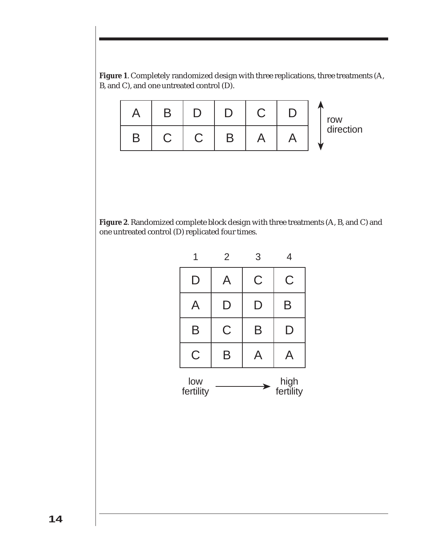**Figure 1**. Completely randomized design with three replications, three treatments (A, B, and C), and one untreated control (D).



**Figure 2**. Randomized complete block design with three treatments (A, B, and C) and one untreated control (D) replicated four times.

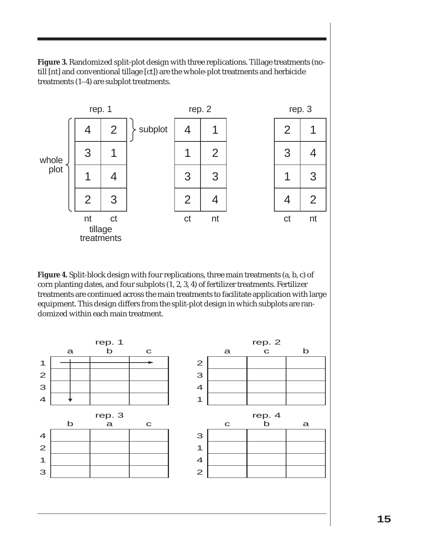**Figure 3.** Randomized split-plot design with three replications. Tillage treatments (notill [nt] and conventional tillage [ct]) are the whole-plot treatments and herbicide treatments (1–4) are subplot treatments.



**Figure 4.** Split-block design with four replications, three main treatments (a, b, c) of corn planting dates, and four subplots (1, 2, 3, 4) of fertilizer treatments. Fertilizer treatments are continued across the main treatments to facilitate application with large equipment. This design differs from the split-plot design in which subplots are randomized within each main treatment.

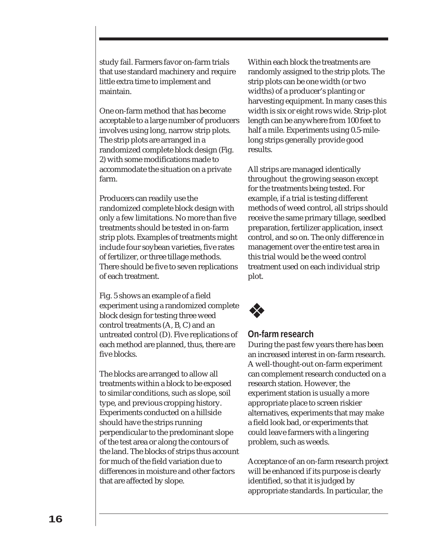study fail. Farmers favor on-farm trials that use standard machinery and require little extra time to implement and maintain.

One on-farm method that has become acceptable to a large number of producers involves using long, narrow strip plots. The strip plots are arranged in a randomized complete block design (Fig. 2) with some modifications made to accommodate the situation on a private farm.

Producers can readily use the randomized complete block design with only a few limitations. No more than five treatments should be tested in on-farm strip plots. Examples of treatments might include four soybean varieties, five rates of fertilizer, or three tillage methods. There should be five to seven replications of each treatment.

Fig. 5 shows an example of a field experiment using a randomized complete block design for testing three weed control treatments (A, B, C) and an untreated control (D). Five replications of each method are planned, thus, there are five blocks.

The blocks are arranged to allow all treatments within a block to be exposed to similar conditions, such as slope, soil type, and previous cropping history. Experiments conducted on a hillside should have the strips running perpendicular to the predominant slope of the test area or along the contours of the land. The blocks of strips thus account for much of the field variation due to differences in moisture and other factors that are affected by slope.

Within each block the treatments are randomly assigned to the strip plots. The strip plots can be one width (or two widths) of a producer's planting or harvesting equipment. In many cases this width is six or eight rows wide. Strip-plot length can be anywhere from 100 feet to half a mile. Experiments using 0.5-milelong strips generally provide good results.

All strips are managed identically throughout the growing season except for the treatments being tested. For example, if a trial is testing different methods of weed control, all strips should receive the same primary tillage, seedbed preparation, fertilizer application, insect control, and so on. The only difference in management over the entire test area in this trial would be the weed control treatment used on each individual strip plot.



# **On-farm research**

During the past few years there has been an increased interest in on-farm research. A well-thought-out on-farm experiment can complement research conducted on a research station. However, the experiment station is usually a more appropriate place to screen riskier alternatives, experiments that may make a field look bad, or experiments that could leave farmers with a lingering problem, such as weeds.

Acceptance of an on-farm research project will be enhanced if its purpose is clearly identified, so that it is judged by appropriate standards. In particular, the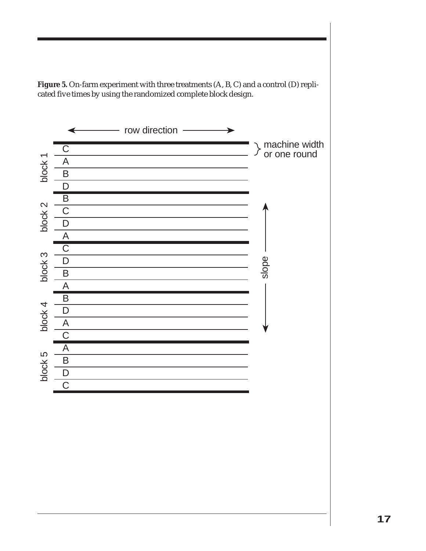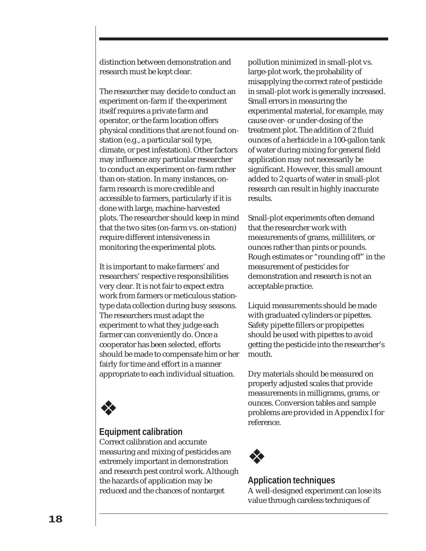distinction between demonstration and research must be kept clear.

The researcher may decide to conduct an experiment on-farm if the experiment itself requires a private farm and operator, or the farm location offers physical conditions that are not found onstation (e.g., a particular soil type, climate, or pest infestation). Other factors may influence any particular researcher to conduct an experiment on-farm rather than on-station. In many instances, onfarm research is more credible and accessible to farmers, particularly if it is done with large, machine-harvested plots. The researcher should keep in mind that the two sites (on-farm vs. on-station) require different intensiveness in monitoring the experimental plots.

It is important to make farmers' and researchers' respective responsibilities very clear. It is not fair to expect extra work from farmers or meticulous stationtype data collection during busy seasons. The researchers must adapt the experiment to what they judge each farmer can conveniently do. Once a cooperator has been selected, efforts should be made to compensate him or her fairly for time and effort in a manner appropriate to each individual situation.



# **Equipment calibration**

Correct calibration and accurate measuring and mixing of pesticides are extremely important in demonstration and research pest control work. Although the hazards of application may be reduced and the chances of nontarget

pollution minimized in small-plot vs. large-plot work, the probability of misapplying the correct rate of pesticide in small-plot work is generally increased. Small errors in measuring the experimental material, for example, may cause over- or under-dosing of the treatment plot. The addition of 2 fluid ounces of a herbicide in a 100-gallon tank of water during mixing for general field application may not necessarily be significant. However, this small amount added to 2 quarts of water in small-plot research can result in highly inaccurate results.

Small-plot experiments often demand that the researcher work with measurements of grams, milliliters, or ounces rather than pints or pounds. Rough estimates or "rounding off" in the measurement of pesticides for demonstration and research is not an acceptable practice.

Liquid measurements should be made with graduated cylinders or pipettes. Safety pipette fillers or propipettes should be used with pipettes to avoid getting the pesticide into the researcher's mouth.

Dry materials should be measured on properly adjusted scales that provide measurements in milligrams, grams, or ounces. Conversion tables and sample problems are provided in Appendix I for reference.



# **Application techniques**

A well-designed experiment can lose its value through careless techniques of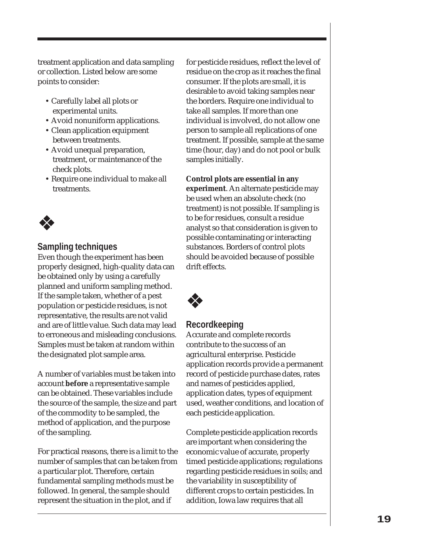treatment application and data sampling or collection. Listed below are some points to consider:

- Carefully label all plots or experimental units.
- Avoid nonuniform applications.
- Clean application equipment between treatments.
- Avoid unequal preparation, treatment, or maintenance of the check plots.
- Require one individual to make all treatments.

# ❖

# **Sampling techniques**

Even though the experiment has been properly designed, high-quality data can be obtained only by using a carefully planned and uniform sampling method. If the sample taken, whether of a pest population or pesticide residues, is not representative, the results are not valid and are of little value. Such data may lead to erroneous and misleading conclusions. Samples must be taken at random within the designated plot sample area.

A number of variables must be taken into account **before** a representative sample can be obtained. These variables include the source of the sample, the size and part of the commodity to be sampled, the method of application, and the purpose of the sampling.

For practical reasons, there is a limit to the number of samples that can be taken from a particular plot. Therefore, certain fundamental sampling methods must be followed. In general, the sample should represent the situation in the plot, and if

for pesticide residues, reflect the level of residue on the crop as it reaches the final consumer. If the plots are small, it is desirable to avoid taking samples near the borders. Require one individual to take all samples. If more than one individual is involved, do not allow one person to sample all replications of one treatment. If possible, sample at the same time (hour, day) and do not pool or bulk samples initially.

# **Control plots are essential in any**

**experiment**. An alternate pesticide may be used when an absolute check (no treatment) is not possible. If sampling is to be for residues, consult a residue analyst so that consideration is given to possible contaminating or interacting substances. Borders of control plots should be avoided because of possible drift effects.



# **Recordkeeping**

Accurate and complete records contribute to the success of an agricultural enterprise. Pesticide application records provide a permanent record of pesticide purchase dates, rates and names of pesticides applied, application dates, types of equipment used, weather conditions, and location of each pesticide application.

Complete pesticide application records are important when considering the economic value of accurate, properly timed pesticide applications; regulations regarding pesticide residues in soils; and the variability in susceptibility of different crops to certain pesticides. In addition, Iowa law requires that all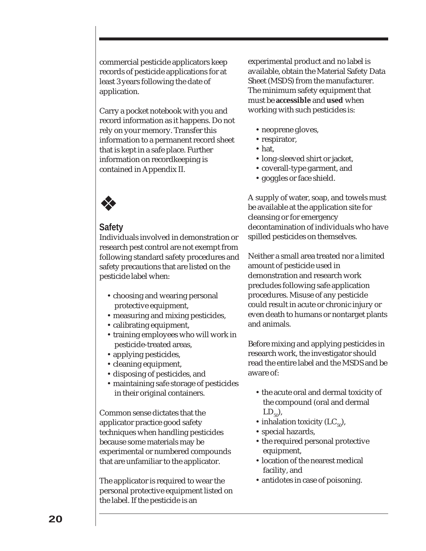commercial pesticide applicators keep records of pesticide applications for at least 3 years following the date of application.

Carry a pocket notebook with you and record information as it happens. Do not rely on your memory. Transfer this information to a permanent record sheet that is kept in a safe place. Further information on recordkeeping is contained in Appendix II.

# ❖

# **Safety**

Individuals involved in demonstration or research pest control are not exempt from following standard safety procedures and safety precautions that are listed on the pesticide label when:

- choosing and wearing personal protective equipment,
- measuring and mixing pesticides,
- calibrating equipment,
- training employees who will work in pesticide-treated areas,
- applying pesticides,
- cleaning equipment,
- disposing of pesticides, and
- maintaining safe storage of pesticides in their original containers.

Common sense dictates that the applicator practice good safety techniques when handling pesticides because some materials may be experimental or numbered compounds that are unfamiliar to the applicator.

The applicator is required to wear the personal protective equipment listed on the label. If the pesticide is an

experimental product and no label is available, obtain the Material Safety Data Sheet (MSDS) from the manufacturer. The minimum safety equipment that must be **accessible** and **used** when working with such pesticides is:

- neoprene gloves,
- respirator,
- hat,
- long-sleeved shirt or jacket,
- coverall-type garment, and
- goggles or face shield.

A supply of water, soap, and towels must be available at the application site for cleansing or for emergency decontamination of individuals who have spilled pesticides on themselves.

Neither a small area treated nor a limited amount of pesticide used in demonstration and research work precludes following safe application procedures. Misuse of any pesticide could result in acute or chronic injury or even death to humans or nontarget plants and animals.

Before mixing and applying pesticides in research work, the investigator should read the entire label and the MSDS and be aware of:

- the acute oral and dermal toxicity of the compound (oral and dermal  $LD_{50}$ ,
- inhalation toxicity  $(LC_{50})$ ,
- special hazards,
- the required personal protective equipment,
- location of the nearest medical facility, and
- antidotes in case of poisoning.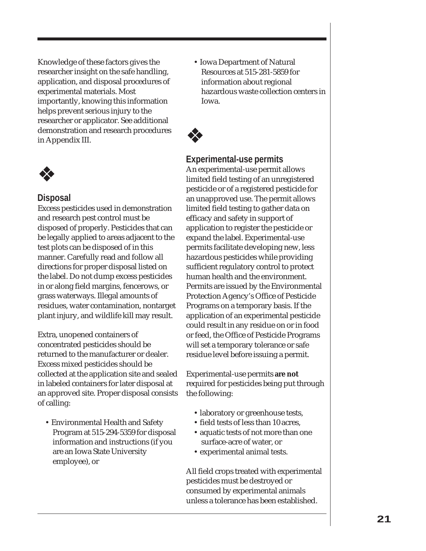Knowledge of these factors gives the researcher insight on the safe handling, application, and disposal procedures of experimental materials. Most importantly, knowing this information helps prevent serious injury to the researcher or applicator. See additional demonstration and research procedures in Appendix III.



# **Disposal**

Excess pesticides used in demonstration and research pest control must be disposed of properly. Pesticides that can be legally applied to areas adjacent to the test plots can be disposed of in this manner. Carefully read and follow all directions for proper disposal listed on the label. Do not dump excess pesticides in or along field margins, fencerows, or grass waterways. Illegal amounts of residues, water contamination, nontarget plant injury, and wildlife kill may result.

Extra, unopened containers of concentrated pesticides should be returned to the manufacturer or dealer. Excess mixed pesticides should be collected at the application site and sealed in labeled containers for later disposal at an approved site. Proper disposal consists of calling:

• Environmental Health and Safety Program at 515-294-5359 for disposal information and instructions (if you are an Iowa State University employee), or

• Iowa Department of Natural Resources at 515-281-5859 for information about regional hazardous waste collection centers in Iowa.

# ❖

# **Experimental-use permits**

An experimental-use permit allows limited field testing of an unregistered pesticide or of a registered pesticide for an unapproved use. The permit allows limited field testing to gather data on efficacy and safety in support of application to register the pesticide or expand the label. Experimental-use permits facilitate developing new, less hazardous pesticides while providing sufficient regulatory control to protect human health and the environment. Permits are issued by the Environmental Protection Agency's Office of Pesticide Programs on a temporary basis. If the application of an experimental pesticide could result in any residue on or in food or feed, the Office of Pesticide Programs will set a temporary tolerance or safe residue level before issuing a permit.

Experimental-use permits **are not** required for pesticides being put through the following:

- laboratory or greenhouse tests,
- field tests of less than 10 acres.
- aquatic tests of not more than one surface-acre of water, or
- experimental animal tests.

All field crops treated with experimental pesticides must be destroyed or consumed by experimental animals unless a tolerance has been established.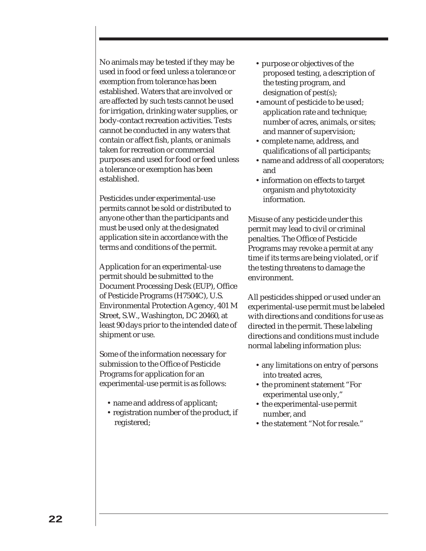No animals may be tested if they may be used in food or feed unless a tolerance or exemption from tolerance has been established. Waters that are involved or are affected by such tests cannot be used for irrigation, drinking water supplies, or body-contact recreation activities. Tests cannot be conducted in any waters that contain or affect fish, plants, or animals taken for recreation or commercial purposes and used for food or feed unless a tolerance or exemption has been established.

Pesticides under experimental-use permits cannot be sold or distributed to anyone other than the participants and must be used only at the designated application site in accordance with the terms and conditions of the permit.

Application for an experimental-use permit should be submitted to the Document Processing Desk (EUP), Office of Pesticide Programs (H7504C), U.S. Environmental Protection Agency, 401 M Street, S.W., Washington, DC 20460, at least 90 days prior to the intended date of shipment or use.

Some of the information necessary for submission to the Office of Pesticide Programs for application for an experimental-use permit is as follows:

- name and address of applicant;
- registration number of the product, if registered;
- purpose or objectives of the proposed testing, a description of the testing program, and designation of pest(s);
- •amount of pesticide to be used; application rate and technique; number of acres, animals, or sites; and manner of supervision;
- complete name, address, and qualifications of all participants;
- name and address of all cooperators; and
- information on effects to target organism and phytotoxicity information.

Misuse of any pesticide under this permit may lead to civil or criminal penalties. The Office of Pesticide Programs may revoke a permit at any time if its terms are being violated, or if the testing threatens to damage the environment.

All pesticides shipped or used under an experimental-use permit must be labeled with directions and conditions for use as directed in the permit. These labeling directions and conditions must include normal labeling information plus:

- any limitations on entry of persons into treated acres,
- the prominent statement "For experimental use only,"
- the experimental-use permit number, and
- the statement "Not for resale."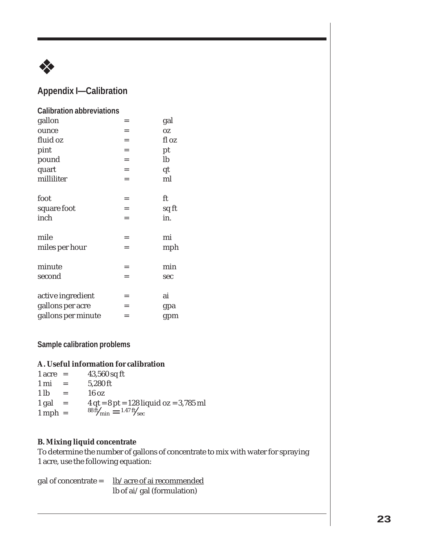

# **Appendix I—Calibration**

| <b>Calibration abbreviations</b> |     |       |
|----------------------------------|-----|-------|
| gallon                           | =   | gal   |
| ounce                            | $=$ | OZ.   |
| fluid oz                         | $=$ | fl oz |
| pint                             | $=$ | pt    |
| pound                            | $=$ | lb    |
| quart                            | $=$ | qt    |
| milliliter                       | $=$ | ml    |
| foot                             | $=$ | ft    |
| square foot                      | $=$ | sq ft |
| inch                             | $=$ | in.   |
| mile                             | $=$ | mi    |
| miles per hour                   | $=$ | mph   |
| minute                           | $=$ | min   |
| second                           | $=$ | sec   |
| active ingredient                | =   | ai    |
| gallons per acre                 | $=$ | gpa   |
| gallons per minute               | =   | gpm   |

**Sample calibration problems**

# **A. Useful information for calibration**

| $1 \text{ acre} =$ |     | $43,560$ sq ft                           |
|--------------------|-----|------------------------------------------|
| 1 mi               |     | 5,280 ft                                 |
| 1 <sub>lb</sub>    |     | $16 \text{ oz}$                          |
| 1 gal              | $=$ | $4 qt = 8 pt = 128 liquid oz = 3,785 ml$ |
| $1$ mph =          |     | $^{88}$ ft/ $_{min} = 1.47$ ft/ $_{sec}$ |

# **B. Mixing liquid concentrate**

To determine the number of gallons of concentrate to mix with water for spraying 1 acre, use the following equation:

gal of concentrate =  $lb/acre$  of ai recommended</u> lb of ai/gal (formulation)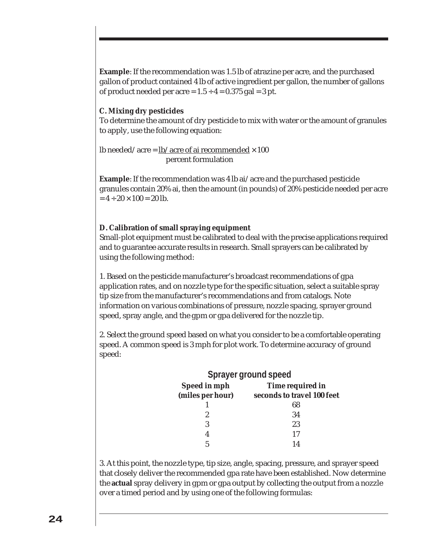**Example**: If the recommendation was 1.5 lb of atrazine per acre, and the purchased gallon of product contained 4 lb of active ingredient per gallon, the number of gallons of product needed per acre =  $1.5 \div 4 = 0.375$  gal = 3 pt.

## **C. Mixing dry pesticides**

To determine the amount of dry pesticide to mix with water or the amount of granules to apply, use the following equation:

lb needed/acre =  $lb/$ acre of ai recommended  $\times 100$ percent formulation

**Example**: If the recommendation was 4 lb ai/acre and the purchased pesticide granules contain 20% ai, then the amount (in pounds) of 20% pesticide needed per acre  $= 4 \div 20 \times 100 = 20$  lb.

# **D. Calibration of small spraying equipment**

Small-plot equipment must be calibrated to deal with the precise applications required and to guarantee accurate results in research. Small sprayers can be calibrated by using the following method:

1. Based on the pesticide manufacturer's broadcast recommendations of gpa application rates, and on nozzle type for the specific situation, select a suitable spray tip size from the manufacturer's recommendations and from catalogs. Note information on various combinations of pressure, nozzle spacing, sprayer ground speed, spray angle, and the gpm or gpa delivered for the nozzle tip.

2. Select the ground speed based on what you consider to be a comfortable operating speed. A common speed is 3 mph for plot work. To determine accuracy of ground speed:

| <b>Sprayer ground speed</b> |                            |  |  |
|-----------------------------|----------------------------|--|--|
| Speed in mph                | Time required in           |  |  |
| (miles per hour)            | seconds to travel 100 feet |  |  |
|                             | 68                         |  |  |
| 2                           | 34                         |  |  |
|                             | 23                         |  |  |
|                             | 17                         |  |  |
|                             | 1 1                        |  |  |

3. At this point, the nozzle type, tip size, angle, spacing, pressure, and sprayer speed that closely deliver the recommended gpa rate have been established. Now determine the **actual** spray delivery in gpm or gpa output by collecting the output from a nozzle over a timed period and by using one of the following formulas: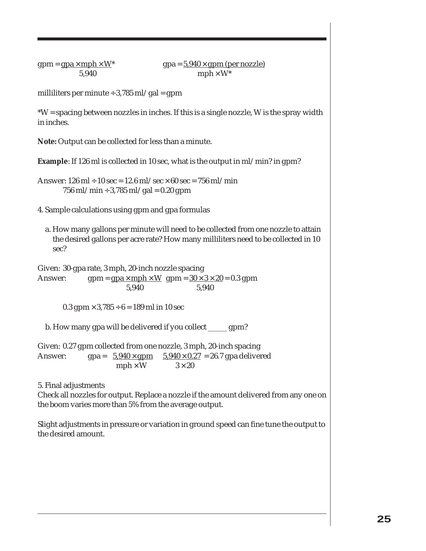#### $gpm = gpa \times mph \times W^*$  gpa =  $5.940 \times gpm$  (per nozzle)  $5.940$  mph  $\times$  W<sup>\*</sup>

milliliters per minute  $\div$  3,785 ml/gal = gpm

\*W = spacing between nozzles in inches. If this is a single nozzle, W is the spray width in inches.

**Note:** Output can be collected for less than a minute.

**Example**: If 126 ml is collected in 10 sec, what is the output in ml/min? in gpm?

Answer:  $126 \text{ ml} \div 10 \text{ sec} = 12.6 \text{ ml/sec} \times 60 \text{ sec} = 756 \text{ ml/min}$  $756$  ml/min ÷ 3,785 ml/gal = 0.20 gpm

- 4. Sample calculations using gpm and gpa formulas
	- a. How many gallons per minute will need to be collected from one nozzle to attain the desired gallons per acre rate? How many milliliters need to be collected in 10 sec?

Given: 30-gpa rate, 3 mph, 20-inch nozzle spacing

Answer: gpm =  $\frac{g}{g}$  =  $\frac{xmph}{W}$  gpm =  $\frac{30 \times 3 \times 20}{20}$  = 0.3 gpm 5,940 5,940

 $0.3$  gpm  $\times$  3,785 ÷ 6 = 189 ml in 10 sec

b. How many gpa will be delivered if you collect \_\_\_\_\_ gpm?

Given: 0.27 gpm collected from one nozzle, 3 mph, 20-inch spacing Answer: gpa =  $5.940 \times gpm$   $5.940 \times 0.27 = 26.7$  gpa delivered  $mph \times W$   $3 \times 20$ 

5. Final adjustments

Check all nozzles for output. Replace a nozzle if the amount delivered from any one on the boom varies more than 5% from the average output.

Slight adjustments in pressure or variation in ground speed can fine tune the output to the desired amount.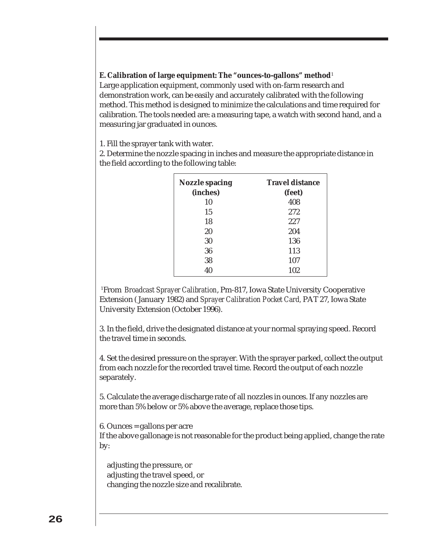# **E. Calibration of large equipment: The "ounces-to-gallons" method**<sup>1</sup>

Large application equipment, commonly used with on-farm research and demonstration work, can be easily and accurately calibrated with the following method. This method is designed to minimize the calculations and time required for calibration. The tools needed are: a measuring tape, a watch with second hand, and a measuring jar graduated in ounces.

1. Fill the sprayer tank with water.

2. Determine the nozzle spacing in inches and measure the appropriate distance in the field according to the following table:

| <b>Nozzle spacing</b><br>(inches) | <b>Travel distance</b><br>(feet) |  |  |
|-----------------------------------|----------------------------------|--|--|
| 10                                | 408                              |  |  |
| 15                                | 272                              |  |  |
| 18                                | 227                              |  |  |
| 20                                | 204                              |  |  |
| 30                                | 136                              |  |  |
| 36                                | 113                              |  |  |
| 38                                | 107                              |  |  |
| 40                                | 102                              |  |  |

1 From *Broadcast Sprayer Calibration*, Pm-817, Iowa State University Cooperative Extension ( January 1982) and *Sprayer Calibration Pocket Card,* PAT 27, Iowa State University Extension (October 1996).

3. In the field, drive the designated distance at your normal spraying speed. Record the travel time in seconds.

4. Set the desired pressure on the sprayer. With the sprayer parked, collect the output from each nozzle for the recorded travel time. Record the output of each nozzle separately.

5. Calculate the average discharge rate of all nozzles in ounces. If any nozzles are more than 5% below or 5% above the average, replace those tips.

6. Ounces = gallons per acre

If the above gallonage is not reasonable for the product being applied, change the rate by:

adjusting the pressure, or adjusting the travel speed, or changing the nozzle size and recalibrate.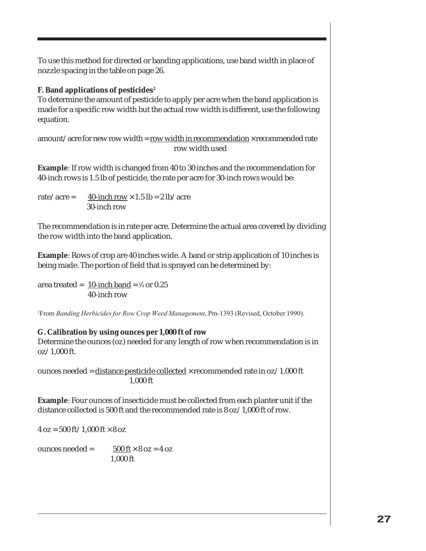To use this method for directed or banding applications, use band width in place of nozzle spacing in the table on page 26.

**F. Band applications of pesticides2**

To determine the amount of pesticide to apply per acre when the band application is made for a specific row width but the actual row width is different, use the following equation.

amount/acre for new row width = row width in recommendation  $\times$  recommended rate row width used

**Example**: If row width is changed from 40 to 30 inches and the recommendation for 40-inch rows is 1.5 lb of pesticide, the rate per acre for 30-inch rows would be:

rate/acre =  $40$ -inch row  $\times$  1.5 lb = 2 lb/acre 30-inch row

The recommendation is in rate per acre. Determine the actual area covered by dividing the row width into the band application.

**Example**: Rows of crop are 40 inches wide. A band or strip application of 10 inches is being made. The portion of field that is sprayed can be determined by:

area treated =  $10$ -inch band = ¼ or 0.25 40-inch row

2 From *Banding Herbicides for Row Crop Weed Management*, Pm-1393 (Revised, October 1990).

# **G. Calibration by using ounces per 1,000 ft of row**

Determine the ounces (oz) needed for any length of row when recommendation is in oz/1,000 ft.

ounces needed = distance pesticide collected  $\times$  recommended rate in oz/1,000 ft 1,000 ft

**Example**: Four ounces of insecticide must be collected from each planter unit if the distance collected is 500 ft and the recommended rate is 8 oz/1,000 ft of row.

 $4 oz = 500 ft / 1,000 ft \times 8 oz$ 

ounces needed =  $500 \text{ ft} \times 8 \text{ oz} = 4 \text{ oz}$ 1,000 ft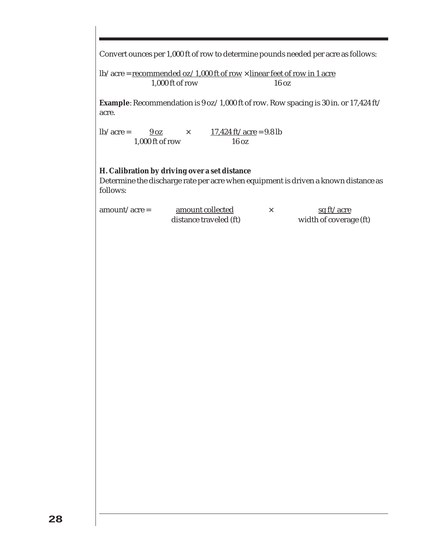Convert ounces per 1,000 ft of row to determine pounds needed per acre as follows:

lb/acre = recommended oz/1,000 ft of row  $\times$  linear feet of row in 1 acre 1,000 ft of row 16 oz

**Example**: Recommendation is 9 oz/1,000 ft of row. Row spacing is 30 in. or 17,424 ft/ acre.

lb/acre =  $\frac{9 \text{ oz}}{}$   $\times$   $\frac{17,424 \text{ ft/acre}}{} = 9.8 \text{ lb}$ 1,000 ft of row 16 oz

#### **H. Calibration by driving over a set distance**

Determine the discharge rate per acre when equipment is driven a known distance as follows:

| $amount/acre =$ | amount collected       | <u>sq ft/acre</u>      |
|-----------------|------------------------|------------------------|
|                 | distance traveled (ft) | width of coverage (ft) |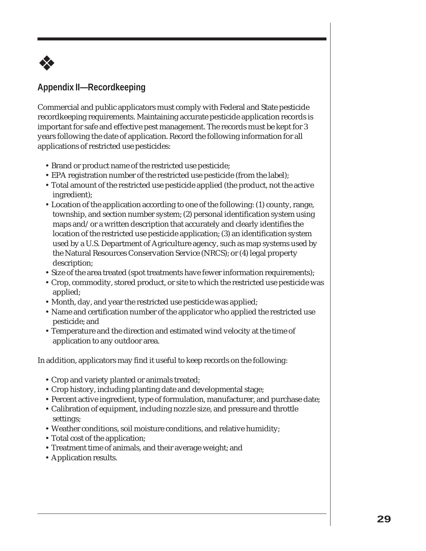

# **Appendix II—Recordkeeping**

Commercial and public applicators must comply with Federal and State pesticide recordkeeping requirements. Maintaining accurate pesticide application records is important for safe and effective pest management. The records must be kept for 3 years following the date of application. Record the following information for all applications of restricted use pesticides:

- Brand or product name of the restricted use pesticide;
- EPA registration number of the restricted use pesticide (from the label);
- Total amount of the restricted use pesticide applied (the product, not the active ingredient);
- Location of the application according to one of the following: (1) county, range, township, and section number system; (2) personal identification system using maps and/or a written description that accurately and clearly identifies the location of the restricted use pesticide application; (3) an identification system used by a U.S. Department of Agriculture agency, such as map systems used by the Natural Resources Conservation Service (NRCS); or (4) legal property description;
- Size of the area treated (spot treatments have fewer information requirements);
- Crop, commodity, stored product, or site to which the restricted use pesticide was applied;
- Month, day, and year the restricted use pesticide was applied;
- Name and certification number of the applicator who applied the restricted use pesticide; and
- Temperature and the direction and estimated wind velocity at the time of application to any outdoor area.

In addition, applicators may find it useful to keep records on the following:

- Crop and variety planted or animals treated;
- Crop history, including planting date and developmental stage;
- Percent active ingredient, type of formulation, manufacturer, and purchase date;
- Calibration of equipment, including nozzle size, and pressure and throttle settings;
- Weather conditions, soil moisture conditions, and relative humidity;
- Total cost of the application;
- Treatment time of animals, and their average weight; and
- Application results.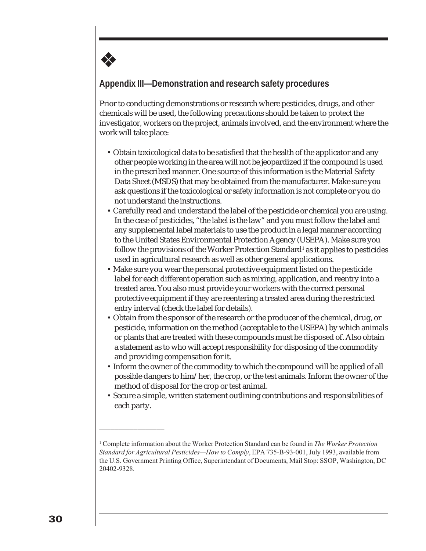# **Appendix III—Demonstration and research safety procedures**

❖

Prior to conducting demonstrations or research where pesticides, drugs, and other chemicals will be used, the following precautions should be taken to protect the investigator, workers on the project, animals involved, and the environment where the work will take place:

- Obtain toxicological data to be satisfied that the health of the applicator and any other people working in the area will not be jeopardized if the compound is used in the prescribed manner. One source of this information is the Material Safety Data Sheet (MSDS) that may be obtained from the manufacturer. Make sure you ask questions if the toxicological or safety information is not complete or you do not understand the instructions.
- Carefully read and understand the label of the pesticide or chemical you are using. In the case of pesticides, "the label is the law" and you must follow the label and any supplemental label materials to use the product in a legal manner according to the United States Environmental Protection Agency (USEPA). Make sure you follow the provisions of the Worker Protection Standard<sup>1</sup> as it applies to pesticides used in agricultural research as well as other general applications.
- Make sure you wear the personal protective equipment listed on the pesticide label for each different operation such as mixing, application, and reentry into a treated area. You also must provide your workers with the correct personal protective equipment if they are reentering a treated area during the restricted entry interval (check the label for details).
- Obtain from the sponsor of the research or the producer of the chemical, drug, or pesticide, information on the method (acceptable to the USEPA) by which animals or plants that are treated with these compounds must be disposed of. Also obtain a statement as to who will accept responsibility for disposing of the commodity and providing compensation for it.
- Inform the owner of the commodity to which the compound will be applied of all possible dangers to him/her, the crop, or the test animals. Inform the owner of the method of disposal for the crop or test animal.
- Secure a simple, written statement outlining contributions and responsibilities of each party.

\_\_\_\_\_\_\_\_\_\_\_\_\_\_\_\_\_

<sup>1</sup> Complete information about the Worker Protection Standard can be found in *The Worker Protection Standard for Agricultural Pesticides—How to Comply*, EPA 735-B-93-001, July 1993, available from the U.S. Government Printing Office, Superintendant of Documents, Mail Stop: SSOP, Washington, DC 20402-9328.